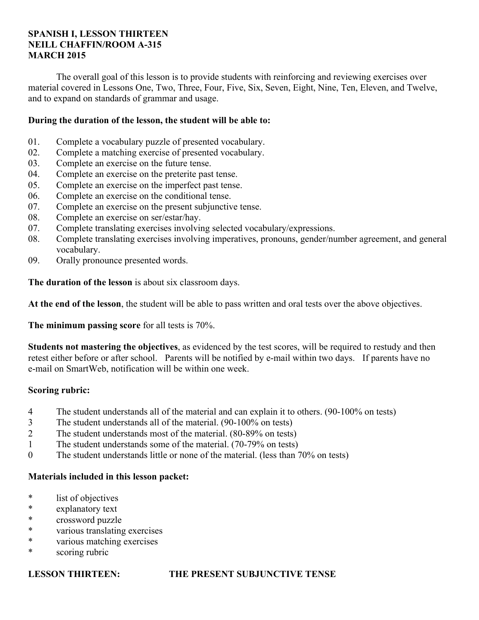## **SPANISH I, LESSON THIRTEEN NEILL CHAFFIN/ROOM A-315 MARCH 2015**

 The overall goal of this lesson is to provide students with reinforcing and reviewing exercises over material covered in Lessons One, Two, Three, Four, Five, Six, Seven, Eight, Nine, Ten, Eleven, and Twelve, and to expand on standards of grammar and usage.

## **During the duration of the lesson, the student will be able to:**

- 01. Complete a vocabulary puzzle of presented vocabulary.
- 02. Complete a matching exercise of presented vocabulary.
- 03. Complete an exercise on the future tense.
- 04. Complete an exercise on the preterite past tense.
- 05. Complete an exercise on the imperfect past tense.
- 06. Complete an exercise on the conditional tense.
- 07. Complete an exercise on the present subjunctive tense.
- 08. Complete an exercise on ser/estar/hay.
- 07. Complete translating exercises involving selected vocabulary/expressions.
- 08. Complete translating exercises involving imperatives, pronouns, gender/number agreement, and general vocabulary.
- 09. Orally pronounce presented words.

**The duration of the lesson** is about six classroom days.

**At the end of the lesson**, the student will be able to pass written and oral tests over the above objectives.

**The minimum passing score** for all tests is 70%.

**Students not mastering the objectives**, as evidenced by the test scores, will be required to restudy and then retest either before or after school. Parents will be notified by e-mail within two days. If parents have no e-mail on SmartWeb, notification will be within one week.

## **Scoring rubric:**

- 4 The student understands all of the material and can explain it to others. (90-100% on tests)
- 3 The student understands all of the material. (90-100% on tests)
- 2 The student understands most of the material. (80-89% on tests)
- 1 The student understands some of the material. (70-79% on tests)
- 0 The student understands little or none of the material. (less than 70% on tests)

## **Materials included in this lesson packet:**

- \* list of objectives
- \* explanatory text
- \* crossword puzzle
- \* various translating exercises
- \* various matching exercises
- \* scoring rubric

## **LESSON THIRTEEN: THE PRESENT SUBJUNCTIVE TENSE**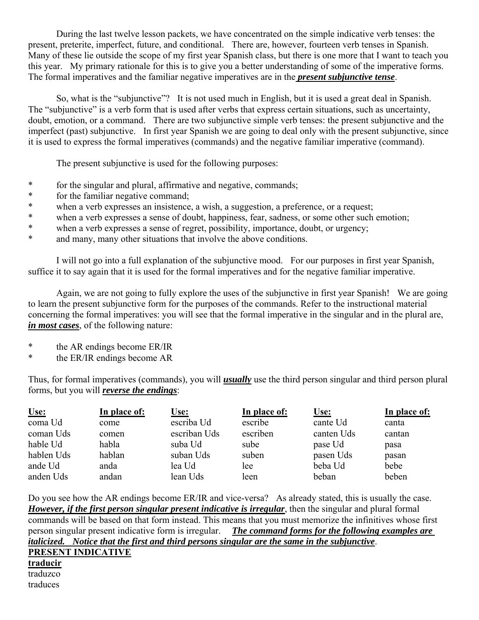During the last twelve lesson packets, we have concentrated on the simple indicative verb tenses: the present, preterite, imperfect, future, and conditional. There are, however, fourteen verb tenses in Spanish. Many of these lie outside the scope of my first year Spanish class, but there is one more that I want to teach you this year. My primary rationale for this is to give you a better understanding of some of the imperative forms. The formal imperatives and the familiar negative imperatives are in the *present subjunctive tense*.

 So, what is the "subjunctive"? It is not used much in English, but it is used a great deal in Spanish. The "subjunctive" is a verb form that is used after verbs that express certain situations, such as uncertainty, doubt, emotion, or a command. There are two subjunctive simple verb tenses: the present subjunctive and the imperfect (past) subjunctive. In first year Spanish we are going to deal only with the present subjunctive, since it is used to express the formal imperatives (commands) and the negative familiar imperative (command).

The present subjunctive is used for the following purposes:

- \* for the singular and plural, affirmative and negative, commands;
- \* for the familiar negative command;
- \* when a verb expresses an insistence, a wish, a suggestion, a preference, or a request;
- \* when a verb expresses a sense of doubt, happiness, fear, sadness, or some other such emotion;
- \* when a verb expresses a sense of regret, possibility, importance, doubt, or urgency;<br>\* and many many other situations that involve the above conditions
- and many, many other situations that involve the above conditions.

 I will not go into a full explanation of the subjunctive mood. For our purposes in first year Spanish, suffice it to say again that it is used for the formal imperatives and for the negative familiar imperative.

 Again, we are not going to fully explore the uses of the subjunctive in first year Spanish! We are going to learn the present subjunctive form for the purposes of the commands. Refer to the instructional material concerning the formal imperatives: you will see that the formal imperative in the singular and in the plural are, *in most cases*, of the following nature:

- \* the AR endings become ER/IR
- \* the ER/IR endings become AR

Thus, for formal imperatives (commands), you will *usually* use the third person singular and third person plural forms, but you will *reverse the endings*:

| Use:       | In place of: | <b>Use:</b>  | In place of: | <u>Use:</u> | In place of: |
|------------|--------------|--------------|--------------|-------------|--------------|
| coma Ud    | come         | escriba Ud   | escribe      | cante Ud    | canta        |
| coman Uds  | comen        | escriban Uds | escriben     | canten Uds  | cantan       |
| hable Ud   | habla        | suba Ud      | sube         | pase Ud     | pasa         |
| hablen Uds | hablan       | suban Uds    | suben        | pasen Uds   | pasan        |
| ande Ud    | anda         | lea Ud       | lee          | beba Ud     | bebe         |
| anden Uds  | andan        | lean Uds     | leen         | beban       | beben        |

Do you see how the AR endings become ER/IR and vice-versa? As already stated, this is usually the case. *However, if the first person singular present indicative is irregular*, then the singular and plural formal commands will be based on that form instead. This means that you must memorize the infinitives whose first person singular present indicative form is irregular. *The command forms for the following examples are italicized. Notice that the first and third persons singular are the same in the subjunctive*.

**PRESENT INDICATIVE traducir** traduzco traduces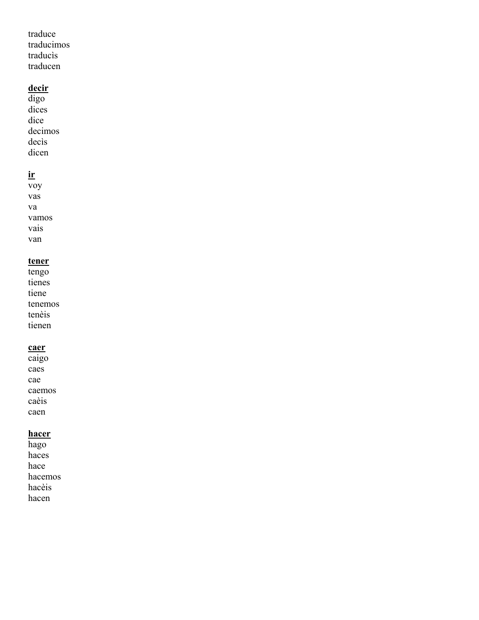traduce traducimos traducìs traducen

# **decir**

digo dices dice decimos decìs dicen

# **ir**

voy vas va vamos vais van

# **tener**

tengo tienes tiene tenemos tenèis tienen

# **caer**

caigo caes cae caemos caèis caen

# **hacer**

hago haces hace hacemos hacèis hacen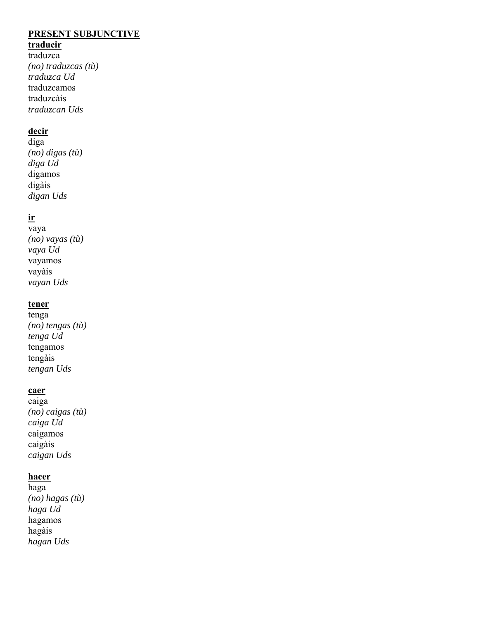# **PRESENT SUBJUNCTIVE**

# **traducir**

traduzca *(no) traduzcas (tù) traduzca Ud* traduzcamos traduzcàis *traduzcan Uds*

# **decir**

diga *(no) digas (tù) diga Ud* digamos digàis *digan Uds*

# **ir**

vaya *(no) vayas (tù) vaya Ud* vayamos vayàis *vayan Uds*

## **tener**

tenga *(no) tengas (tù) tenga Ud* tengamos tengàis *tengan Uds*

## **caer**

caiga *(no) caigas (tù) caiga Ud* caigamos caigàis *caigan Uds*

# **hacer**

haga *(no) hagas (tù) haga Ud* hagamos hagàis *hagan Uds*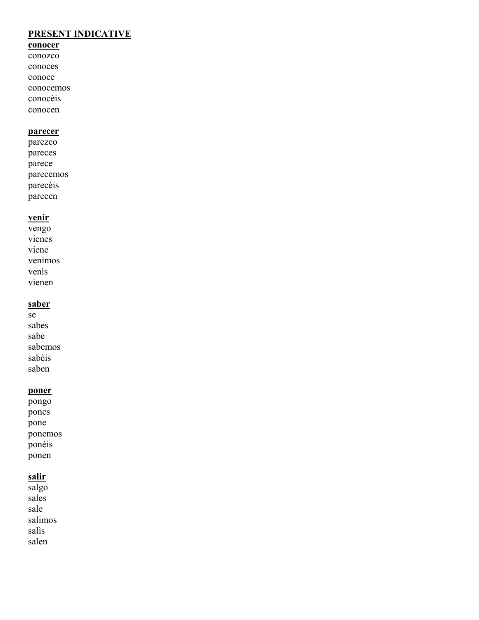# **PRESENT INDICATIVE**

# **conocer**

conozco conoces conoce conocemos conocèis

conocen

## **parecer**

parezco pareces parece parecemos parecèis parecen

# **venir**

vengo vienes viene venimos venìs vienen

# **saber**

se sabes sabe sabemos sabèis saben

# **poner**

pongo pones pone ponemos ponèis ponen

# **salir**

salgo sales sale salimos salìs salen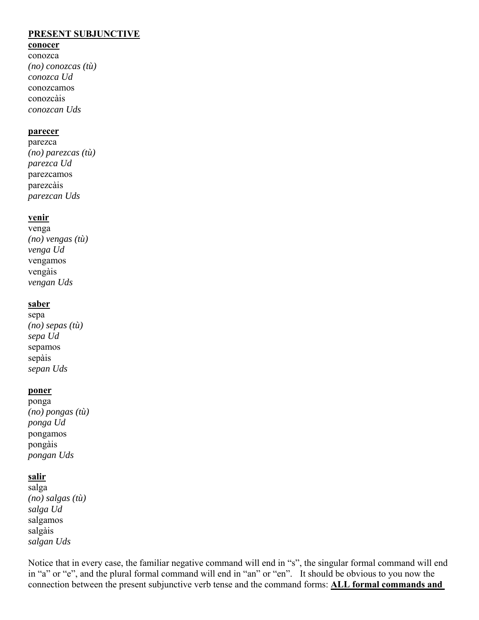## **PRESENT SUBJUNCTIVE**

### **conocer**

conozca *(no) conozcas (tù) conozca Ud* conozcamos conozcàis *conozcan Uds*

### **parecer**

parezca *(no) parezcas (tù) parezca Ud* parezcamos parezcàis *parezcan Uds*

## **venir**

venga *(no) vengas (tù) venga Ud* vengamos vengàis *vengan Uds*

### **saber**

sepa *(no) sepas (tù) sepa Ud* sepamos sepàis *sepan Uds*

### **poner**

ponga *(no) pongas (tù) ponga Ud* pongamos pongàis *pongan Uds*

## **salir**

salga *(no) salgas (tù) salga Ud* salgamos salgàis *salgan Uds*

Notice that in every case, the familiar negative command will end in "s", the singular formal command will end in "a" or "e", and the plural formal command will end in "an" or "en". It should be obvious to you now the connection between the present subjunctive verb tense and the command forms: **ALL formal commands and**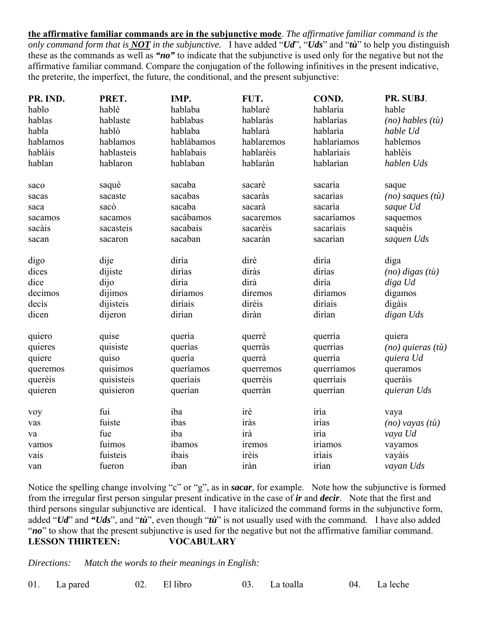**the affirmative familiar commands are in the subjunctive mode**. *The affirmative familiar command is the only command form that is NOT in the subjunctive.* I have added "*Ud*", "*Uds*" and "*tù*" to help you distinguish these as the commands as well as *"no"* to indicate that the subjunctive is used only for the negative but not the affirmative familiar command. Compare the conjugation of the following infinitives in the present indicative, the preterite, the imperfect, the future, the conditional, and the present subjunctive:

| PR. IND. | PRET.      | IMP.       | FUT.       | COND.       | PR. SUBJ.                    |
|----------|------------|------------|------------|-------------|------------------------------|
| hablo    | hablè      | hablaba    | hablarè    | hablarìa    | hable                        |
| hablas   | hablaste   | hablabas   | hablaràs   | hablarias   | $(no)$ hables $(t\grave{u})$ |
| habla    | hablò      | hablaba    | hablarà    | hablarìa    | hable Ud                     |
| hablamos | hablamos   | hablàbamos | hablaremos | hablariamos | hablemos                     |
| hablàis  | hablasteis | hablabais  | hablarèis  | hablariais  | hablèis                      |
| hablan   | hablaron   | hablaban   | hablaràn   | hablarian   | hablen Uds                   |
| saco     | saquè      | sacaba     | sacarè     | sacaria     | saque                        |
| sacas    | sacaste    | sacabas    | sacaràs    | sacarias    | $(no)$ saques $(t\grave{u})$ |
| saca     | sacò       | sacaba     | sacarà     | sacaria     | saque Ud                     |
| sacamos  | sacamos    | sacàbamos  | sacaremos  | sacariamos  | saquemos                     |
| sacàis   | sacasteis  | sacabais   | sacarèis   | sacariais   | saquèis                      |
| sacan    | sacaron    | sacaban    | sacaràn    | sacarian    | saquen Uds                   |
| digo     | dije       | dirìa      | dirè       | diria       | diga                         |
| dices    | dijiste    | dirias     | diràs      | dirias      | $(no)$ digas $(t\grave{u})$  |
| dice     | dijo       | dirìa      | dirà       | dirìa       | diga Ud                      |
| decimos  | dijimos    | diriamos   | diremos    | diriamos    | digamos                      |
| decis    | dijisteis  | diriais    | dirèis     | diriais     | digàis                       |
| dicen    | dijeron    | dirìan     | diràn      | dirian      | digan Uds                    |
| quiero   | quise      | queria     | querrè     | querria     | quiera                       |
| quieres  | quisiste   | querias    | querràs    | querrias    | $(no)$ quieras $(t\hat{u})$  |
| quiere   | quiso      | queria     | querrà     | querria     | quiera Ud                    |
| queremos | quisimos   | queriamos  | querremos  | querriamos  | queramos                     |
| querèis  | quisisteis | queriais   | querrèis   | querriais   | queràis                      |
| quieren  | quisieron  | querian    | querràn    | querrian    | quieran Uds                  |
| voy      | fui        | iba        | irè        | irìa        | vaya                         |
| vas      | fuiste     | ibas       | iràs       | irìas       | $(no)$ vayas $(t\grave{u})$  |
| va       | fue        | iba        | irà        | irìa        | vaya Ud                      |
| vamos    | fuimos     | ibamos     | iremos     | irìamos     | vayamos                      |
| vais     | fuisteis   | ibais      | irèis      | irìais      | vayàis                       |
| van      | fueron     | iban       | iràn       | irìan       | vayan Uds                    |

Notice the spelling change involving "c" or "g", as in *sacar*, for example. Note how the subjunctive is formed from the irregular first person singular present indicative in the case of *ir* and *decir*. Note that the first and third persons singular subjunctive are identical. I have italicized the command forms in the subjunctive form, added "*Ud*" and *"Uds*", and "*tù*", even though "*tù*" is not usually used with the command. I have also added "*no*" to show that the present subjunctive is used for the negative but not the affirmative familiar command. **LESSON THIRTEEN: VOCABULARY**

*Directions: Match the words to their meanings in English:*

01. La pared 02. El libro 03. La toalla 04. La leche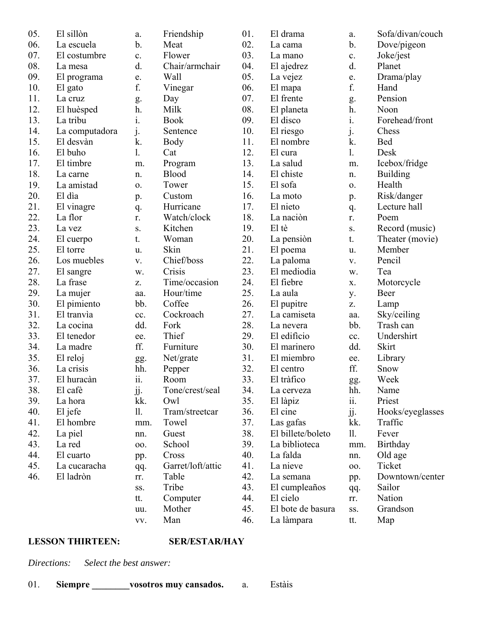| 05. | El sillòn      | a.             | Friendship        | 01. | El drama          | a.  | Sofa/divan/couch |
|-----|----------------|----------------|-------------------|-----|-------------------|-----|------------------|
| 06. | La escuela     | $\mathbf b$ .  | Meat              | 02. | La cama           | b.  | Dove/pigeon      |
| 07. | El costumbre   | c.             | Flower            | 03. | La mano           | c.  | Joke/jest        |
| 08. | La mesa        | d.             | Chair/armchair    | 04. | El ajedrez        | d.  | Planet           |
| 09. | El programa    | e.             | Wall              | 05. | La vejez          | e.  | Drama/play       |
| 10. | El gato        | f.             | Vinegar           | 06. | El mapa           | f.  | Hand             |
| 11. | La cruz        | g.             | Day               | 07. | El frente         | g.  | Pension          |
| 12. | El huèsped     | h.             | Milk              | 08. | El planeta        | h.  | Noon             |
| 13. | La tribu       | i.             | <b>Book</b>       | 09. | El disco          | i.  | Forehead/front   |
| 14. | La computadora | $\mathbf{j}$ . | Sentence          | 10. | El riesgo         | j.  | Chess            |
| 15. | El desvàn      | k.             | Body              | 11. | El nombre         | k.  | <b>Bed</b>       |
| 16. | El buho        | 1.             | Cat               | 12. | El cura           | 1.  | Desk             |
| 17. | El timbre      | m.             | Program           | 13. | La salud          | m.  | Icebox/fridge    |
| 18. | La carne       | n.             | Blood             | 14. | El chiste         | n.  | <b>Building</b>  |
| 19. | La amistad     | 0.             | Tower             | 15. | El sofa           | 0.  | Health           |
| 20. | El dia         | p.             | Custom            | 16. | La moto           | p.  | Risk/danger      |
| 21. | El vinagre     | q.             | Hurricane         | 17. | El nieto          | q.  | Lecture hall     |
| 22. | La flor        | r.             | Watch/clock       | 18. | La nación         | r.  | Poem             |
| 23. | La vez         | S.             | Kitchen           | 19. | El tè             | S.  | Record (music)   |
| 24. | El cuerpo      | t.             | Woman             | 20. | La pensiòn        | t.  | Theater (movie)  |
| 25. | El torre       | u.             | Skin              | 21. | El poema          | u.  | Member           |
| 26. | Los muebles    | V.             | Chief/boss        | 22. | La paloma         | V.  | Pencil           |
| 27. | El sangre      | W.             | Crisis            | 23. | El mediodìa       | w.  | Tea              |
| 28. | La frase       | Z.             | Time/occasion     | 24. | El fiebre         | X.  | Motorcycle       |
| 29. | La mujer       | aa.            | Hour/time         | 25. | La aula           | у.  | Beer             |
| 30. | El pimiento    | bb.            | Coffee            | 26. | El pupitre        | Z.  | Lamp             |
| 31. | El tranvia     | cc.            | Cockroach         | 27. | La camiseta       | aa. | Sky/ceiling      |
| 32. | La cocina      | dd.            | Fork              | 28. | La nevera         | bb. | Trash can        |
| 33. | El tenedor     | ee.            | Thief             | 29. | El edificio       | cc. | Undershirt       |
| 34. | La madre       | ff.            | Furniture         | 30. | El marinero       | dd. | Skirt            |
| 35. | El reloj       | gg.            | Net/grate         | 31. | El miembro        | ee. | Library          |
| 36. | La crisis      | hh.            | Pepper            | 32. | El centro         | ff. | Snow             |
| 37. | El huracàn     | ii.            | Room              | 33. | El tràfico        | gg. | Week             |
| 38. | El cafè        | jj.            | Tone/crest/seal   | 34. | La cerveza        | hh. | Name             |
| 39. | La hora        | kk.            | Owl               | 35. | El làpiz          | ii. | Priest           |
| 40. | El jefe        | 11.            | Tram/streetcar    | 36. | El cine           | jj. | Hooks/eyeglasses |
| 41. | El hombre      | mm.            | Towel             | 37. | Las gafas         | kk. | Traffic          |
| 42. | La piel        | nn.            | Guest             | 38. | El billete/boleto | 11. | Fever            |
| 43. | La red         | 00.            | School            | 39. | La biblioteca     | mm. | Birthday         |
| 44. | El cuarto      | pp.            | Cross             | 40. | La falda          | nn. | Old age          |
| 45. | La cucaracha   | qq.            | Garret/loft/attic | 41. | La nieve          | 00. | Ticket           |
| 46. | El ladròn      | rr.            | Table             | 42. | La semana         | pp. | Downtown/center  |
|     |                | SS.            | Tribe             | 43. | El cumpleaños     | qq. | Sailor           |
|     |                | tt.            | Computer          | 44. | El cielo          | rr. | Nation           |
|     |                | uu.            | Mother            | 45. | El bote de basura | SS. | Grandson         |
|     |                | VV.            | Man               | 46. | La làmpara        | tt. | Map              |
|     |                |                |                   |     |                   |     |                  |

# **LESSON THIRTEEN: SER/ESTAR/HAY**

*Directions: Select the best answer:*

| 01. | Siempre | vosotros muy cansados. |  | Estàis |
|-----|---------|------------------------|--|--------|
|-----|---------|------------------------|--|--------|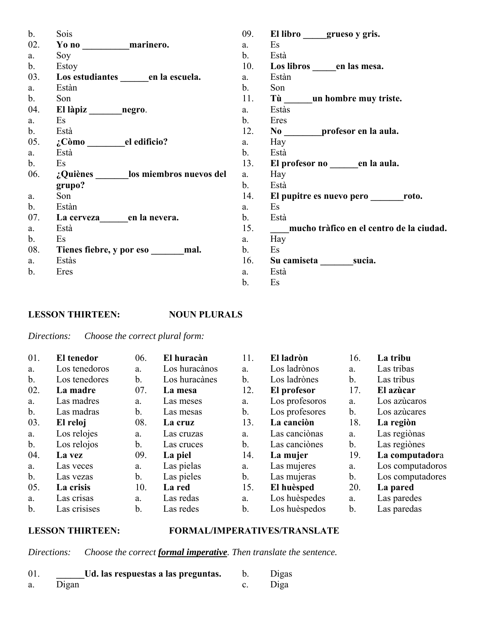| $\mathbf{b}$ . | Sois                             | 09.            | El libro grueso y gris.                  |
|----------------|----------------------------------|----------------|------------------------------------------|
| 02.            | Yo no marinero.                  | a.             | Es                                       |
| a.             | Soy                              | $\mathbf{b}$ . | Està                                     |
| $\mathbf{b}$ . | Estoy                            | 10.            | Los libros en las mesa.                  |
| 03.            | Los estudiantes en la escuela.   | a.             | Estàn                                    |
| a.             | Estàn                            | b.             | Son                                      |
| $\mathbf{b}$ . | Son                              | 11.            | Tù ___ un hombre muy triste.             |
| 04.            |                                  | a.             | Estàs                                    |
| a.             | Es                               | b.             | Eres                                     |
| $\mathbf{b}$ . | Està                             | 12.            | No profesor en la aula.                  |
| 05.            | ¿Còmo ________el edificio?       | a.             | Hay                                      |
| a.             | Està                             | $\mathbf{b}$ . | Està                                     |
| b.             | Es                               | 13.            | El profesor no en la aula.               |
| 06.            | ¿Quiènes los miembros nuevos del | a.             | Hay                                      |
|                | grupo?                           | b.             | Està                                     |
| a.             | Son                              | 14.            | El pupitre es nuevo pero roto.           |
| $\mathbf{b}$ . | Estàn                            | a.             | Es                                       |
| 07.            | La cerveza en la nevera.         | b.             | Està                                     |
| a.             | Està                             | 15.            | mucho tràfico en el centro de la ciudad. |
| b.             | Es                               | a.             | Hay                                      |
| 08.            | Tienes fiebre, y por eso mal.    | $\mathbf{b}$ . | Es                                       |
| a.             | Estàs                            | 16.            | Su camiseta sucia.                       |
| $\mathbf b$ .  | Eres                             | a.             | Està                                     |
|                |                                  | b.             | Es                                       |

## **LESSON THIRTEEN: NOUN PLURALS**

*Directions: Choose the correct plural form:*

| 01.            | <b>El tenedor</b> | 06.            | El huracàn    | 11.           | El ladròn      | 16.           | La tribu         |
|----------------|-------------------|----------------|---------------|---------------|----------------|---------------|------------------|
| a.             | Los tenedoros     | a.             | Los huracànos | a.            | Los ladrònos   | a.            | Las tribas       |
| $\mathbf b$ .  | Los tenedores     | b.             | Los huracànes | $\mathbf b$ . | Los ladrònes   | $b$ .         | Las tribus       |
| 02.            | La madre          | 07.            | La mesa       | 12.           | El profesor    | 17.           | El azùcar        |
| a.             | Las madres        | a.             | Las meses     | a.            | Los profesoros | a.            | Los azúcaros     |
| b.             | Las madras        | b.             | Las mesas     | b.            | Los profesores | b.            | Los azucares     |
| 03.            | El reloj          | 08.            | La cruz       | 13.           | La canciòn     | 18.           | La región        |
| a.             | Los relojes       | a.             | Las cruzas    | a.            | Las canciònas  | a.            | Las regiònas     |
| $\mathbf b$ .  | Los relojos       | $\mathbf{b}$ . | Las cruces    | $\mathbf b$ . | Las canciònes  | $b$ .         | Las regiònes     |
| 04.            | La vez            | 09.            | La piel       | 14.           | La mujer       | 19.           | La computadora   |
| a.             | Las veces         | a.             | Las pielas    | a.            | Las mujeres    | a.            | Los computadoros |
| $\mathbf{b}$ . | Las vezas         | b.             | Las pieles    | b.            | Las mujeras    | b.            | Los computadores |
| 05.            | La crisis         | 10.            | La red        | 15.           | El huèsped     | 20.           | La pared         |
| a.             | Las crisas        | a.             | Las redas     | a.            | Los huèspedes  | a.            | Las paredes      |
| $\mathbf b$ .  | Las crisises      | $\mathbf b$ .  | Las redes     | b.            | Los huèspedos  | $\mathbf b$ . | Las paredas      |

## **LESSON THIRTEEN: FORMAL/IMPERATIVES/TRANSLATE**

*Directions: Choose the correct formal imperative. Then translate the sentence.*

| 01. | Ud. las respuestas a las preguntas. | Digas |
|-----|-------------------------------------|-------|
| a.  | Digan                               | Diga  |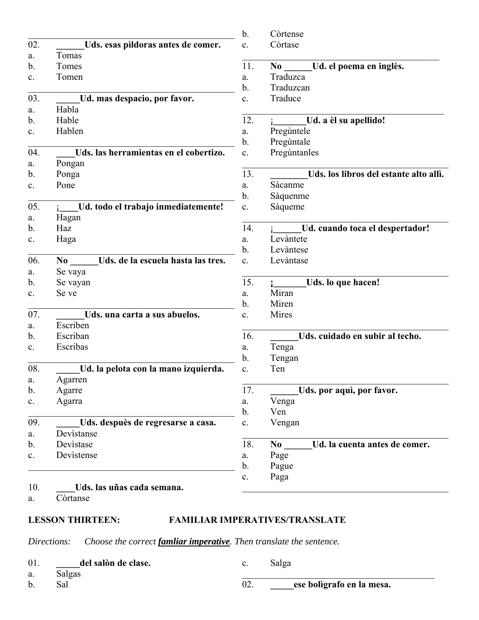| 02.<br>Uds. esas pildoras antes de comer.<br>Còrtase<br>$\mathbf{c}$ .<br>Tomas<br>a.<br>11.<br>b.<br>Tomes<br>N <sub>0</sub><br>Traduzca<br>Tomen<br>c.<br>a.<br>Traduzcan<br>b.<br>03.<br>Ud. mas despacio, por favor.<br>Traduce<br>c.<br>Habla<br>a.<br>12.<br>Hable<br>b. | Ud. el poema en inglès.<br>Ud. a èl su apellido! |
|--------------------------------------------------------------------------------------------------------------------------------------------------------------------------------------------------------------------------------------------------------------------------------|--------------------------------------------------|
|                                                                                                                                                                                                                                                                                |                                                  |
|                                                                                                                                                                                                                                                                                |                                                  |
|                                                                                                                                                                                                                                                                                |                                                  |
|                                                                                                                                                                                                                                                                                |                                                  |
|                                                                                                                                                                                                                                                                                |                                                  |
|                                                                                                                                                                                                                                                                                |                                                  |
|                                                                                                                                                                                                                                                                                |                                                  |
|                                                                                                                                                                                                                                                                                |                                                  |
| Hablen<br>Pregùntele<br>c.<br>a.                                                                                                                                                                                                                                               |                                                  |
| $b$ .<br>Pregùntale                                                                                                                                                                                                                                                            |                                                  |
| Uds. las herramientas en el cobertizo.<br>04.<br>Preguntanles<br>c.                                                                                                                                                                                                            |                                                  |
| Pongan<br>a.                                                                                                                                                                                                                                                                   |                                                  |
| 13.<br>b.<br>Ponga                                                                                                                                                                                                                                                             | Uds. los libros del estante alto allì.           |
| Pone<br>Sàcanme<br>c.<br>a.                                                                                                                                                                                                                                                    |                                                  |
| Sàquenme<br>b.                                                                                                                                                                                                                                                                 |                                                  |
| 05.<br>Ud. todo el trabajo inmediatemente!<br>Sàqueme<br>c.                                                                                                                                                                                                                    |                                                  |
| Hagan<br>a.                                                                                                                                                                                                                                                                    |                                                  |
| 14.<br>Haz<br>b.                                                                                                                                                                                                                                                               | Ud. cuando toca el despertador!                  |
| Levàntete<br>Haga<br>a.<br>c.                                                                                                                                                                                                                                                  |                                                  |
| b.<br>Levàntese                                                                                                                                                                                                                                                                |                                                  |
| 06.<br>Uds. de la escuela hasta las tres.<br>Levàntase<br>$\bf No$<br>$\mathbf{c}$ .                                                                                                                                                                                           |                                                  |
| Se vaya<br>a.                                                                                                                                                                                                                                                                  |                                                  |
| 15.<br>b.<br>Se vayan                                                                                                                                                                                                                                                          | Uds. lo que hacen!                               |
| Miran<br>Se ve<br>a.<br>c.                                                                                                                                                                                                                                                     |                                                  |
| Miren<br>b.                                                                                                                                                                                                                                                                    |                                                  |
| 07.<br>Mires<br>Uds. una carta a sus abuelos.<br>$\mathbf{c}$ .                                                                                                                                                                                                                |                                                  |
| Escriben<br>a.                                                                                                                                                                                                                                                                 |                                                  |
| Escriban<br>16.<br>b.                                                                                                                                                                                                                                                          | Uds. cuidado en subir al techo.                  |
| Escribas<br>Tenga<br>c.<br>a.                                                                                                                                                                                                                                                  |                                                  |
| b.<br>Tengan                                                                                                                                                                                                                                                                   |                                                  |
| 08.<br>Ud. la pelota con la mano izquierda.<br>Ten<br>$\mathbf{c}$ .                                                                                                                                                                                                           |                                                  |
| Agarren<br>a.                                                                                                                                                                                                                                                                  |                                                  |
| 17.<br>b.<br>Agarre                                                                                                                                                                                                                                                            | Uds. por aquì, por favor.                        |
| Agarra<br>Venga<br>$\mathbf{c}.$<br>a.                                                                                                                                                                                                                                         |                                                  |
| Ven<br>$\mathbf b$ .                                                                                                                                                                                                                                                           |                                                  |
| 09.<br>Uds. despuès de regresarse a casa.<br>Vengan<br>c.                                                                                                                                                                                                                      |                                                  |
| Devistanse<br>a.                                                                                                                                                                                                                                                               |                                                  |
| 18.<br>Devistase<br>b.<br>No                                                                                                                                                                                                                                                   | Ud. la cuenta antes de comer.                    |
| Devistense<br>Page<br>$\mathbf{c}.$<br>a.                                                                                                                                                                                                                                      |                                                  |
| b.<br>Pague                                                                                                                                                                                                                                                                    |                                                  |
| Paga<br>c.                                                                                                                                                                                                                                                                     |                                                  |
| 10.<br>Uds. las uñas cada semana.                                                                                                                                                                                                                                              |                                                  |
| Còrtanse<br>a.                                                                                                                                                                                                                                                                 |                                                  |

### **LESSON THIRTEEN: FAMILIAR IMPERATIVES/TRANSLATE**

*Directions: Choose the correct famliar imperative. Then translate the sentence.*

01. **\_\_\_\_\_del salòn de clase.**

a. Salgas b. Sal

c. Salga

02. **\_\_\_\_\_ese bolìgrafo en la mesa.**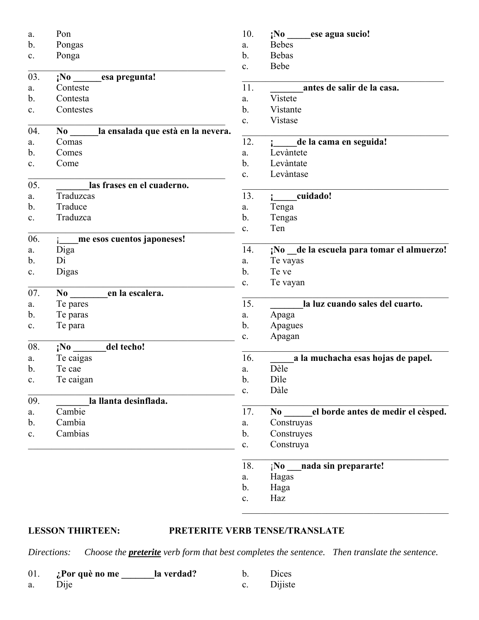| a.             | Pon                                            | 10.            | $iNo$ ese agua sucio!                           |
|----------------|------------------------------------------------|----------------|-------------------------------------------------|
| b.             | Pongas                                         | a.             | <b>Bebes</b>                                    |
| c.             | Ponga                                          | b.             | <b>Bebas</b>                                    |
|                |                                                | c.             | Bebe                                            |
| 03.            | $iNo$ esa pregunta!                            |                |                                                 |
| a.             | Conteste                                       | 11.            | antes de salir de la casa.                      |
| $\mathbf{b}$ . | Contesta                                       | a.             | Vistete                                         |
| c.             | Contestes                                      | b.             | Vistante                                        |
|                |                                                | c.             | Vistase                                         |
| 04.            | la ensalada que està en la nevera.<br>$\bf No$ |                |                                                 |
| a.             | Comas                                          | 12.            | de la cama en seguida!                          |
| b.             | Comes                                          | a.             | Levàntete                                       |
| c.             | Come                                           | b.             | Levàntate                                       |
|                |                                                | c.             | Levàntase                                       |
| 05.            | las frases en el cuaderno.                     |                |                                                 |
| a.             | Traduzcas                                      | 13.            | cuidado!                                        |
| b.             | Traduce                                        | a.             | Tenga                                           |
| c.             | Traduzca                                       | b.             | Tengas                                          |
|                |                                                | c.             | Ten                                             |
| 06.            | me esos cuentos japoneses!                     |                |                                                 |
| a.             | Diga                                           | 14.            | ¡No _de la escuela para tomar el almuerzo!      |
| b.             | Di                                             | a.             | Te vayas                                        |
| c.             | Digas                                          | b.             | Te ve                                           |
|                |                                                | c.             | Te vayan                                        |
| 07.            | en la escalera.<br>$\bf{No}$                   |                |                                                 |
| a.             | Te pares                                       | 15.            | la luz cuando sales del cuarto.                 |
| $\mathbf b$ .  | Te paras                                       | a.             | Apaga                                           |
| c.             | Te para                                        | b.             | Apagues                                         |
|                |                                                | c.             | Apagan                                          |
| 08.            | del techo!<br>;No                              |                |                                                 |
| a.             | Te caigas                                      | 16.            | a la muchacha esas hojas de papel.              |
| b.             | Te cae                                         | a.             | Dèle                                            |
| $\mathbf{c}.$  | Te caigan                                      | b.             | Dìle                                            |
|                |                                                | $\mathbf{c}$ . | Dàle                                            |
| 09.            | la llanta desinflada.                          |                |                                                 |
| a.             | Cambie                                         | 17.            | el borde antes de medir el cèsped.<br>$\bf{No}$ |
| $\mathbf b$ .  | Cambia                                         | a.             | Construyas                                      |
| $\mathbf{c}.$  | Cambias                                        | $\mathbf b$ .  | Construyes                                      |
|                |                                                | $\mathbf{c}$ . | Construya                                       |
|                |                                                |                |                                                 |
|                |                                                | 18.            | nada sin prepararte!<br>$i$ No                  |
|                |                                                | a.             | Hagas                                           |
|                |                                                | b.             | Haga                                            |
|                |                                                | $\mathbf{c}.$  | Haz                                             |
|                |                                                |                |                                                 |

# **LESSON THIRTEEN: PRETERITE VERB TENSE/TRANSLATE**

*Directions: Choose the preterite verb form that best completes the sentence. Then translate the sentence.*

| 01. | ¿Por què no me | la verdad? | Dices   |
|-----|----------------|------------|---------|
| a.  | Dije           |            | Dijiste |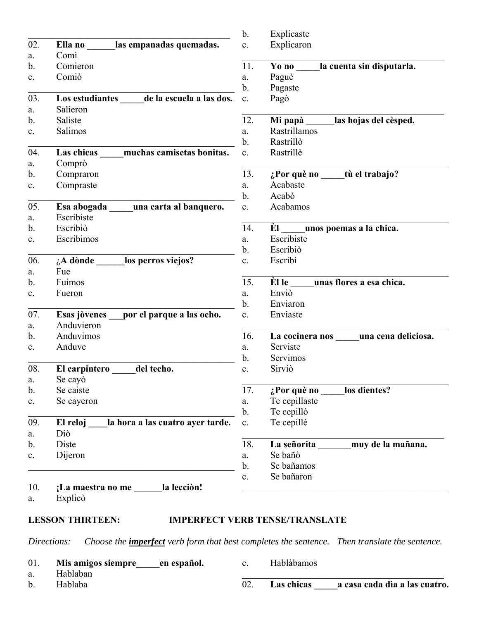|               |                                              | $b$ .          | Explicaste                           |
|---------------|----------------------------------------------|----------------|--------------------------------------|
| 02.           | Ella no las empanadas quemadas.              | c.             | Explicaron                           |
| a.            | Comì                                         |                |                                      |
| b.            | Comieron                                     | 11.            | Yo no<br>la cuenta sin disputarla.   |
| c.            | Comiò                                        | a.             | Paguè                                |
|               |                                              | b.             | Pagaste                              |
| 03.           | Los estudiantes<br>de la escuela a las dos.  | $\mathbf{c}$ . | Pagò                                 |
| a.            | Salieron                                     |                |                                      |
| b.            | Saliste                                      | 12.            | Mi papà _______las hojas del cèsped. |
| c.            | Salimos                                      | a.             | Rastrillamos                         |
|               |                                              | b.             | Rastrillò                            |
| 04.           | muchas camisetas bonitas.<br>Las chicas      | c.             | Rastrillè                            |
| a.            | Comprò                                       |                |                                      |
| b.            | Compraron                                    | 13.            | ¿Por què no _____tù el trabajo?      |
| c.            | Compraste                                    | a.             | Acabaste                             |
|               |                                              | $\mathbf b$ .  | Acabò                                |
| 05.           | Esa abogada<br>una carta al banquero.        | c.             | Acabamos                             |
| a.            | Escribiste                                   |                |                                      |
| b.            | Escribiò                                     | 14.            | El unos poemas a la chica.           |
| c.            | Escribimos                                   | a.             | Escribiste                           |
|               |                                              | b.             | Escribiò                             |
| 06.           | $\Delta A$ dònde los perros viejos?          | c.             | Escribì                              |
| a.            | Fue                                          |                |                                      |
| b.            | Fuimos                                       | 15.            | Èl le<br>unas flores a esa chica.    |
| c.            | Fueron                                       | a.             | Enviò                                |
|               |                                              | b.             | Enviaron                             |
| 07.           | Esas jòvenes por el parque a las ocho.       | $\mathbf{c}$ . | Enviaste                             |
| a.            | Anduvieron                                   |                |                                      |
| b.            | Anduvimos                                    | 16.            | La cocinera nos una cena deliciosa.  |
| c.            | Anduve                                       | a.             | Serviste                             |
|               |                                              | $\mathbf b$ .  | Servimos                             |
| 08.           | del techo.<br>El carpintero                  | c.             | Sirviò                               |
| a.            | Se cayò                                      |                |                                      |
| $\mathbf b$ . | Se caiste                                    | 17.            | ¿Por què no<br>los dientes?          |
| c.            | Se cayeron                                   | a.             | Te cepillaste                        |
|               |                                              | b.             | Te cepillò                           |
| 09.           | El reloj<br>la hora a las cuatro ayer tarde. | c.             | Te cepillè                           |
| a.            | Diò                                          |                |                                      |
| b.            | Diste                                        | 18.            | La señorita<br>muy de la mañana.     |
| c.            | Dijeron                                      | a.             | Se bañò                              |
|               |                                              | $\mathbf b$ .  | Se bañamos                           |
|               |                                              | c.             | Se bañaron                           |
| 10.           | ¡La maestra no me<br>la lecciòn!             |                |                                      |
| a.            | Explicò                                      |                |                                      |

# **LESSON THIRTEEN: IMPERFECT VERB TENSE/TRANSLATE**

*Directions: Choose the imperfect verb form that best completes the sentence. Then translate the sentence.*

- 01. **Mis amigos siempre\_\_\_\_\_en español.**
- a. Hablaban
- b. Hablaba

c. Hablàbamos

02. **Las chicas \_\_\_\_\_a casa cada dìa a las cuatro.**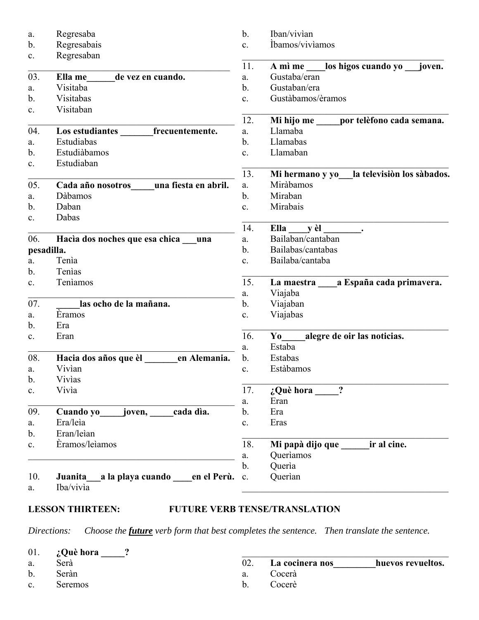| a.             | Regresaba                                   | $\mathbf{b}$ . | Iban/vivian                                   |
|----------------|---------------------------------------------|----------------|-----------------------------------------------|
| b.             | Regresabais                                 | c.             | İbamos/viviamos                               |
| c.             | Regresaban                                  | 11.            | A mì me los higos cuando yo<br>joven.         |
| 03.            | Ella me<br>de vez en cuando.                | a.             | Gustaba/eran                                  |
| a.             | Visitaba                                    | b.             | Gustaban/era                                  |
| b.             | Visitabas                                   | $\mathbf{c}$ . | Gustàbamos/èramos                             |
| c.             | Visitaban                                   |                |                                               |
|                |                                             | 12.            | Mi hijo me<br>por telèfono cada semana.       |
| 04.            | Los estudiantes<br>frecuentemente.          | a.             | Llamaba                                       |
| a.             | Estudiabas                                  | $\mathbf b$ .  | Llamabas                                      |
| b.             | Estudiàbamos                                | $\mathbf{c}$ . | Llamaban                                      |
| c.             | Estudiaban                                  |                |                                               |
|                |                                             | 13.            | Mi hermano y yo la televisión los sàbados.    |
| 05.            | una fiesta en abril.<br>Cada año nosotros   | a.             | Miràbamos                                     |
| a.             | Dàbamos                                     | $\mathbf b$ .  | Miraban                                       |
| b.             | Daban                                       | $\mathbf{c}$ . | Mirabais                                      |
| c.             | Dabas                                       |                |                                               |
|                |                                             | 14.            | Ella y èl                                     |
| 06.            | Hacia dos noches que esa chica<br>una       | a.             | Bailaban/cantaban                             |
|                | pesadilla.                                  | $\mathbf b$ .  | Bailabas/cantabas                             |
| a.             | Tenia                                       | $\mathbf{c}$ . | Bailaba/cantaba                               |
| b.             | Tenias                                      |                |                                               |
| c.             | Teniamos                                    | 15.            | La maestra a España cada primavera.           |
|                |                                             | a.             | Viajaba                                       |
| 07.            | las ocho de la mañana.                      | b.             | Viajaban                                      |
| a.             | Eramos                                      | c.             | Viajabas                                      |
| b.             | Era                                         |                |                                               |
| c.             | Eran                                        | 16.            | alegre de oir las noticias.<br>$\mathbf{Y}$ o |
|                |                                             | a.             | Estaba                                        |
| 08.            | en Alemania.<br>Hacia dos años que èl       | $\mathbf{b}$ . | Estabas                                       |
| a.             | Vivian                                      | c.             | Estàbamos                                     |
| b.             | Vivias                                      |                |                                               |
| c.             | Vivia                                       | 17.            | $\overline{?}$<br>¿Què hora                   |
|                |                                             | a.             | Eran                                          |
| 09.            | joven, cada dia.<br>Cuando yo               | b.             | Era                                           |
| a.             | Era/leia                                    | c.             | Eras                                          |
| $\mathbf{b}$ . | Eran/leian                                  |                |                                               |
| c.             | Èramos/leiamos                              | 18.            | Mi papà dijo que _____<br>ir al cine.         |
|                |                                             | a.             | Queriamos                                     |
|                |                                             | $\mathbf{b}$ . | Queria                                        |
| 10.            | a la playa cuando en el Perù. c.<br>Juanita |                | Querian                                       |
| a.             | Iba/vivia                                   |                |                                               |

# **LESSON THIRTEEN: FUTURE VERB TENSE/TRANSLATION**

*Directions: Choose the future verb form that best completes the sentence. Then translate the sentence.*

|                | 01. $i$ Què hora ? |     |                     |                   |
|----------------|--------------------|-----|---------------------|-------------------|
| a.             | Serà               |     | 02. La cocinera nos | huevos revueltos. |
| $\mathbf{b}$ . | Seràn              | a.  | Cocerà              |                   |
| $c_{\cdot}$    | Seremos            | h — | Cocerè              |                   |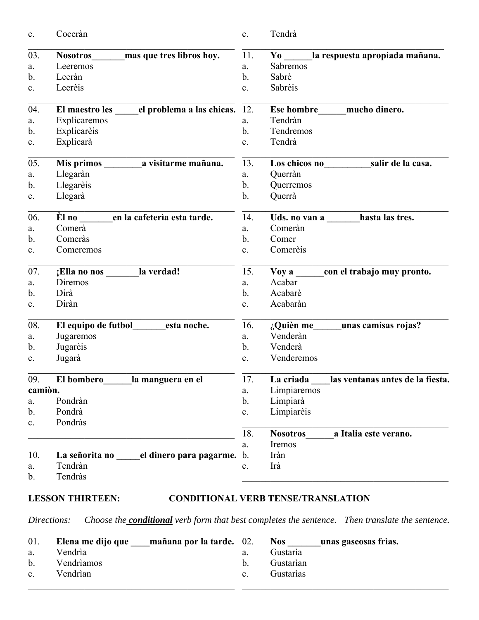| c.             | Coceràn                                      | c.             | Tendrà                                           |
|----------------|----------------------------------------------|----------------|--------------------------------------------------|
| 03.            | mas que tres libros hoy.<br><b>Nosotros</b>  | 11.            | la respuesta apropiada mañana.<br>$\mathbf{Y}$ o |
| a.             | Leeremos                                     | a.             | Sabremos                                         |
| b.             | Leeràn                                       | $\mathbf b$ .  | Sabrè                                            |
| c.             | Leerèis                                      | c.             | Sabrèis                                          |
| 04.            | El maestro les el problema a las chicas.     | 12.            | <b>Ese hombre</b><br>mucho dinero.               |
| a.             | Explicaremos                                 | a.             | Tendràn                                          |
| b.             | Explicarèis                                  | $\mathbf b$ .  | Tendremos                                        |
| c.             | Explicarà                                    | c.             | Tendrà                                           |
| 05.            |                                              | 13.            | Los chicos no salir de la casa.                  |
| a.             | Llegaràn                                     | a.             | Querràn                                          |
| b.             | Llegarèis                                    | $\mathbf b$ .  | Querremos                                        |
| c.             | Llegarà                                      | $\mathbf b$ .  | Querrà                                           |
| 06.            | Èl no<br>en la cafetería esta tarde.         | 14.            | hasta las tres.<br>Uds. no van a                 |
| a.             | Comerà                                       | a.             | Comeràn                                          |
| $b$ .          | Comeràs                                      | $\mathbf b$ .  | Comer                                            |
| c.             | Comeremos                                    | c.             | Comerèis                                         |
| 07.            | ¡Ella no nos la verdad!                      | 15.            | con el trabajo muy pronto.<br>$\bf{Voy}$ a       |
| a.             | Diremos                                      | a.             | Acabar                                           |
| b.             | Dirà                                         | $\mathbf b$ .  | Acabarè                                          |
| c.             | Diràn                                        | $\mathbf{c}$ . | Acabaràn                                         |
| 08.            | esta noche.                                  | 16.            | $\lambda$ Quièn me unas camisas rojas?           |
| a.             | Jugaremos                                    | a.             | Venderàn                                         |
| b.             | Jugarèis                                     | $\mathbf b$ .  | Venderà                                          |
| c.             | Jugarà                                       | c.             | Venderemos                                       |
| 09.            | la manguera en el<br>El bombero              | 17.            | las ventanas antes de la fiesta.<br>La criada    |
| camiòn.        |                                              | a.             | Limpiaremos                                      |
| a.             | Pondràn                                      | $\mathbf b$ .  | Limpiarà                                         |
| $\mathbf{b}$ . | Pondrà                                       | $\mathbf{c}.$  | Limpiarèis                                       |
| c.             | Pondràs                                      |                |                                                  |
|                |                                              | 18.            | <b>Nosotros</b><br>a Italia este verano.         |
|                |                                              | a.             | Iremos                                           |
| 10.            | el dinero para pagarme. b.<br>La señorita no |                | Iràn                                             |
| a.             | Tendràn                                      | c.             | Irà                                              |
| b.             | Tendràs                                      |                |                                                  |
|                |                                              |                |                                                  |

# **LESSON THIRTEEN: CONDITIONAL VERB TENSE/TRANSLATION**

*Directions: Choose the conditional verb form that best completes the sentence. Then translate the sentence.*

| 01.         | Elena me dijo que<br>mañana por la tarde. 02. |             | <b>Nos</b> | unas gaseosas frìas. |
|-------------|-----------------------------------------------|-------------|------------|----------------------|
| a.          | Vendria                                       | a.          | Gustaria   |                      |
|             | b. Vendriamos                                 | $b_{1}$     | Gustarian  |                      |
| $c_{\cdot}$ | Vendrian                                      | $c_{\cdot}$ | Gustarias  |                      |
|             |                                               |             |            |                      |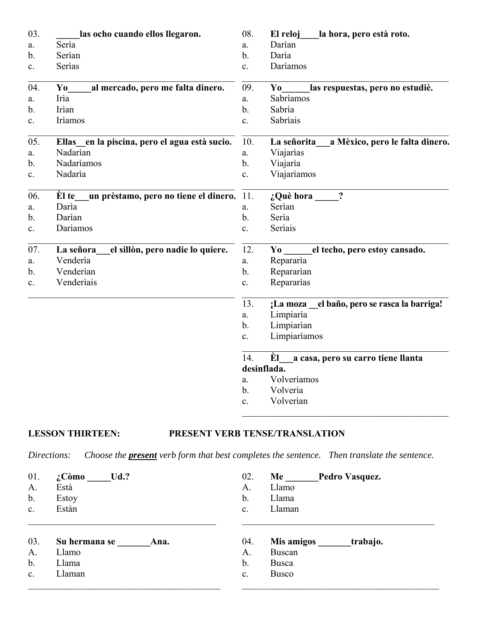| 03.            | las ocho cuando ellos llegaron.                | 08.            | la hora, pero està roto.<br>El reloj                            |
|----------------|------------------------------------------------|----------------|-----------------------------------------------------------------|
| a.             | Seria                                          | a.             | Darian                                                          |
| $\mathbf{b}$ . | Serìan                                         | b.             | Darìa                                                           |
| c.             | Serìas                                         | c.             | Dariamos                                                        |
| 04.            | al mercado, pero me falta dinero.<br>Yo        | 09.            | las respuestas, pero no estudiè.<br>Yo                          |
| a.             | Irìa                                           | a.             | Sabrìamos                                                       |
| b.             | Irìan                                          | b.             | Sabrìa                                                          |
| c.             | Irìamos                                        | c.             | Sabriais                                                        |
| 05.            | Ellas en la piscina, pero el agua està sucio.  | 10.            | a Mèxico, pero le falta dinero.<br>La señorita                  |
| a.             | Nadarìan                                       | a.             | Viajarias                                                       |
| b.             | Nadariamos                                     | $\mathbf b$ .  | Viajaria                                                        |
| $\mathbf{c}$ . | Nadarìa                                        | $\mathbf{c}$ . | Viajarìamos                                                     |
| 06.            | un prèstamo, pero no tiene el dinero.<br>El te | 11.            | $\ddot{\cdot}$<br>¿Què hora                                     |
| a.             | Darìa                                          | a.             | Serìan                                                          |
| b.             | Darian                                         | $b$ .          | Serìa                                                           |
| c.             | Dariamos                                       | $\mathbf{c}$ . | Serìais                                                         |
| 07.            | el sillòn, pero nadie lo quiere.<br>La señora  | 12.            | el techo, pero estoy cansado.<br>$\mathbf{Y}$ o $\qquad \qquad$ |
| a.             | Venderia                                       | a.             | Repararia                                                       |
| $\mathbf{b}$ . | Venderian                                      | $\mathbf b$ .  | Repararian                                                      |
| c.             | Venderiais                                     | c.             | Repararias                                                      |
|                |                                                | 13.            | el baño, pero se rasca la barriga!<br>;La moza                  |
|                |                                                | a.             | Limpiaria                                                       |
|                |                                                | $\mathbf{b}$ . | Limpiarian                                                      |
|                |                                                | c.             | Limpiariamos                                                    |
|                |                                                | 14.            | Èl<br>a casa, pero su carro tiene llanta                        |
|                |                                                |                | desinflada.                                                     |
|                |                                                | a.             | Volveriamos                                                     |
|                |                                                | $\mathbf{b}$ . | Volveria                                                        |
|                |                                                | c.             | Volverian                                                       |

# **LESSON THIRTEEN: PRESENT VERB TENSE/TRANSLATION**

*Directions: Choose the present verb form that best completes the sentence. Then translate the sentence.*

| 01.           | $Ud$ .?<br>$\lambda$ Còmo | 02.            | Me           | Pedro Vasquez. |
|---------------|---------------------------|----------------|--------------|----------------|
| A.            | Està                      | A.             | Llamo        |                |
| $\mathbf b$ . | Estoy                     | b.             | Llama        |                |
| c.            | Estàn                     | $\mathbf{c}$ . | Llaman       |                |
|               |                           |                |              |                |
| 03.           | Su hermana se<br>Ana.     | 04.            | Mis amigos   | trabajo.       |
| A.            | Llamo                     | Α.             | Buscan       |                |
| b.            | Llama                     | b.             | Busca        |                |
| c.            | Llaman                    | $\mathbf{c}$ . | <b>Busco</b> |                |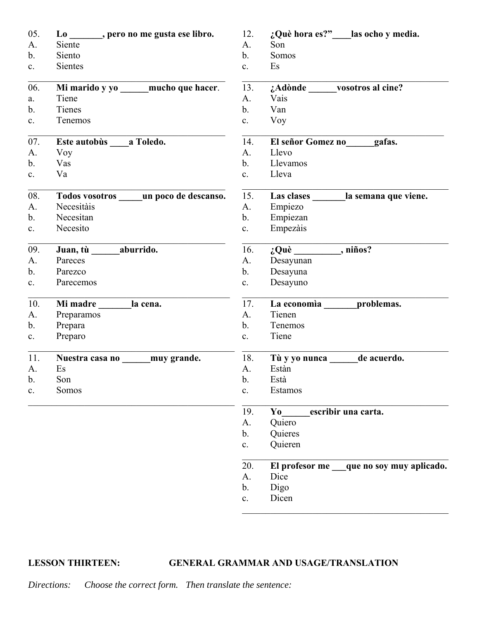| Siente<br>Son<br>A.<br>A.<br>$\mathbf{b}$ .<br>Somos<br>Siento<br>b.<br><b>Sientes</b><br>Es<br>c.<br>c.<br>Mi marido y yo _____mucho que hacer.<br>13.<br>06.<br>¿Adònde vosotros al cine?<br>Tiene<br>Vais<br>A.<br>a.<br>Tienes<br>$\mathbf{b}$ .<br>$\mathbf{b}$ .<br>Van<br>Tenemos<br>Voy<br>c.<br>c.<br>07.<br>Este autobùs a Toledo.<br>14.<br>El señor Gomez no gafas.<br>Voy<br>A.<br>Llevo<br>A.<br>Llevamos<br>$\mathbf b$ .<br>Vas<br>b.<br>Va<br>Lleva<br>c.<br>c.<br>08.<br>Las clases ________ la semana que viene.<br>Todos vosotros _____ un poco de descanso.<br>15.<br>Necesitàis<br>Empiezo<br>A.<br>A.<br>$\mathbf{b}$ .<br>Necesitan<br>$\mathbf b$ .<br>Empiezan<br>Necesito<br>Empezàis<br>$\mathbf{c}.$<br>c.<br>$i$ Què _____________, niños?<br>Juan, tù ________ aburrido.<br>16.<br>09.<br>Pareces<br>A.<br>Desayunan<br>A.<br>$\mathbf{b}$ .<br>Parezco<br>$\mathbf b$ .<br>Desayuna<br>Desayuno<br>Parecemos<br>c.<br>c.<br>10.<br>17.<br>Mi madre ________ la cena.<br>La economia _______ problemas.<br>A.<br>Tienen<br>A.<br>Preparamos<br>$\mathbf{b}$ .<br>Prepara<br>b.<br>Tenemos<br>Preparo<br>Tiene<br>c.<br>c.<br>11.<br>Nuestra casa no ______ muy grande.<br>18.<br>Tù y yo nunca ______ de acuerdo.<br>Estàn<br>Es<br>A.<br>A.<br>Està<br>$h_{\cdot}$<br>Son<br>$h_{\cdot}$<br>Somos<br>Estamos<br>$\mathbf{c}$ .<br>c.<br>19.<br>escribir una carta.<br>$\mathbf{Y}$ o<br>A.<br>Quiero<br>Quieres<br>$\mathbf{b}$ .<br>Quieren<br>$\mathbf{c}.$<br>El profesor me que no soy muy aplicado.<br>20.<br>Dice<br>A.<br>Digo<br>$\mathbf{b}$ .<br>Dicen<br>$\mathbf{c}$ . | 05. | Lo _______, pero no me gusta ese libro. | 12. | ¿Què hora es?"____las ocho y media. |
|--------------------------------------------------------------------------------------------------------------------------------------------------------------------------------------------------------------------------------------------------------------------------------------------------------------------------------------------------------------------------------------------------------------------------------------------------------------------------------------------------------------------------------------------------------------------------------------------------------------------------------------------------------------------------------------------------------------------------------------------------------------------------------------------------------------------------------------------------------------------------------------------------------------------------------------------------------------------------------------------------------------------------------------------------------------------------------------------------------------------------------------------------------------------------------------------------------------------------------------------------------------------------------------------------------------------------------------------------------------------------------------------------------------------------------------------------------------------------------------------------------------------------------------------------------------------------------------------------------------------|-----|-----------------------------------------|-----|-------------------------------------|
|                                                                                                                                                                                                                                                                                                                                                                                                                                                                                                                                                                                                                                                                                                                                                                                                                                                                                                                                                                                                                                                                                                                                                                                                                                                                                                                                                                                                                                                                                                                                                                                                                    |     |                                         |     |                                     |
|                                                                                                                                                                                                                                                                                                                                                                                                                                                                                                                                                                                                                                                                                                                                                                                                                                                                                                                                                                                                                                                                                                                                                                                                                                                                                                                                                                                                                                                                                                                                                                                                                    |     |                                         |     |                                     |
|                                                                                                                                                                                                                                                                                                                                                                                                                                                                                                                                                                                                                                                                                                                                                                                                                                                                                                                                                                                                                                                                                                                                                                                                                                                                                                                                                                                                                                                                                                                                                                                                                    |     |                                         |     |                                     |
|                                                                                                                                                                                                                                                                                                                                                                                                                                                                                                                                                                                                                                                                                                                                                                                                                                                                                                                                                                                                                                                                                                                                                                                                                                                                                                                                                                                                                                                                                                                                                                                                                    |     |                                         |     |                                     |
|                                                                                                                                                                                                                                                                                                                                                                                                                                                                                                                                                                                                                                                                                                                                                                                                                                                                                                                                                                                                                                                                                                                                                                                                                                                                                                                                                                                                                                                                                                                                                                                                                    |     |                                         |     |                                     |
|                                                                                                                                                                                                                                                                                                                                                                                                                                                                                                                                                                                                                                                                                                                                                                                                                                                                                                                                                                                                                                                                                                                                                                                                                                                                                                                                                                                                                                                                                                                                                                                                                    |     |                                         |     |                                     |
|                                                                                                                                                                                                                                                                                                                                                                                                                                                                                                                                                                                                                                                                                                                                                                                                                                                                                                                                                                                                                                                                                                                                                                                                                                                                                                                                                                                                                                                                                                                                                                                                                    |     |                                         |     |                                     |
|                                                                                                                                                                                                                                                                                                                                                                                                                                                                                                                                                                                                                                                                                                                                                                                                                                                                                                                                                                                                                                                                                                                                                                                                                                                                                                                                                                                                                                                                                                                                                                                                                    |     |                                         |     |                                     |
|                                                                                                                                                                                                                                                                                                                                                                                                                                                                                                                                                                                                                                                                                                                                                                                                                                                                                                                                                                                                                                                                                                                                                                                                                                                                                                                                                                                                                                                                                                                                                                                                                    |     |                                         |     |                                     |
|                                                                                                                                                                                                                                                                                                                                                                                                                                                                                                                                                                                                                                                                                                                                                                                                                                                                                                                                                                                                                                                                                                                                                                                                                                                                                                                                                                                                                                                                                                                                                                                                                    |     |                                         |     |                                     |
|                                                                                                                                                                                                                                                                                                                                                                                                                                                                                                                                                                                                                                                                                                                                                                                                                                                                                                                                                                                                                                                                                                                                                                                                                                                                                                                                                                                                                                                                                                                                                                                                                    |     |                                         |     |                                     |
|                                                                                                                                                                                                                                                                                                                                                                                                                                                                                                                                                                                                                                                                                                                                                                                                                                                                                                                                                                                                                                                                                                                                                                                                                                                                                                                                                                                                                                                                                                                                                                                                                    |     |                                         |     |                                     |
|                                                                                                                                                                                                                                                                                                                                                                                                                                                                                                                                                                                                                                                                                                                                                                                                                                                                                                                                                                                                                                                                                                                                                                                                                                                                                                                                                                                                                                                                                                                                                                                                                    |     |                                         |     |                                     |
|                                                                                                                                                                                                                                                                                                                                                                                                                                                                                                                                                                                                                                                                                                                                                                                                                                                                                                                                                                                                                                                                                                                                                                                                                                                                                                                                                                                                                                                                                                                                                                                                                    |     |                                         |     |                                     |
|                                                                                                                                                                                                                                                                                                                                                                                                                                                                                                                                                                                                                                                                                                                                                                                                                                                                                                                                                                                                                                                                                                                                                                                                                                                                                                                                                                                                                                                                                                                                                                                                                    |     |                                         |     |                                     |
|                                                                                                                                                                                                                                                                                                                                                                                                                                                                                                                                                                                                                                                                                                                                                                                                                                                                                                                                                                                                                                                                                                                                                                                                                                                                                                                                                                                                                                                                                                                                                                                                                    |     |                                         |     |                                     |
|                                                                                                                                                                                                                                                                                                                                                                                                                                                                                                                                                                                                                                                                                                                                                                                                                                                                                                                                                                                                                                                                                                                                                                                                                                                                                                                                                                                                                                                                                                                                                                                                                    |     |                                         |     |                                     |
|                                                                                                                                                                                                                                                                                                                                                                                                                                                                                                                                                                                                                                                                                                                                                                                                                                                                                                                                                                                                                                                                                                                                                                                                                                                                                                                                                                                                                                                                                                                                                                                                                    |     |                                         |     |                                     |
|                                                                                                                                                                                                                                                                                                                                                                                                                                                                                                                                                                                                                                                                                                                                                                                                                                                                                                                                                                                                                                                                                                                                                                                                                                                                                                                                                                                                                                                                                                                                                                                                                    |     |                                         |     |                                     |
|                                                                                                                                                                                                                                                                                                                                                                                                                                                                                                                                                                                                                                                                                                                                                                                                                                                                                                                                                                                                                                                                                                                                                                                                                                                                                                                                                                                                                                                                                                                                                                                                                    |     |                                         |     |                                     |
|                                                                                                                                                                                                                                                                                                                                                                                                                                                                                                                                                                                                                                                                                                                                                                                                                                                                                                                                                                                                                                                                                                                                                                                                                                                                                                                                                                                                                                                                                                                                                                                                                    |     |                                         |     |                                     |
|                                                                                                                                                                                                                                                                                                                                                                                                                                                                                                                                                                                                                                                                                                                                                                                                                                                                                                                                                                                                                                                                                                                                                                                                                                                                                                                                                                                                                                                                                                                                                                                                                    |     |                                         |     |                                     |
|                                                                                                                                                                                                                                                                                                                                                                                                                                                                                                                                                                                                                                                                                                                                                                                                                                                                                                                                                                                                                                                                                                                                                                                                                                                                                                                                                                                                                                                                                                                                                                                                                    |     |                                         |     |                                     |
|                                                                                                                                                                                                                                                                                                                                                                                                                                                                                                                                                                                                                                                                                                                                                                                                                                                                                                                                                                                                                                                                                                                                                                                                                                                                                                                                                                                                                                                                                                                                                                                                                    |     |                                         |     |                                     |
|                                                                                                                                                                                                                                                                                                                                                                                                                                                                                                                                                                                                                                                                                                                                                                                                                                                                                                                                                                                                                                                                                                                                                                                                                                                                                                                                                                                                                                                                                                                                                                                                                    |     |                                         |     |                                     |
|                                                                                                                                                                                                                                                                                                                                                                                                                                                                                                                                                                                                                                                                                                                                                                                                                                                                                                                                                                                                                                                                                                                                                                                                                                                                                                                                                                                                                                                                                                                                                                                                                    |     |                                         |     |                                     |
|                                                                                                                                                                                                                                                                                                                                                                                                                                                                                                                                                                                                                                                                                                                                                                                                                                                                                                                                                                                                                                                                                                                                                                                                                                                                                                                                                                                                                                                                                                                                                                                                                    |     |                                         |     |                                     |
|                                                                                                                                                                                                                                                                                                                                                                                                                                                                                                                                                                                                                                                                                                                                                                                                                                                                                                                                                                                                                                                                                                                                                                                                                                                                                                                                                                                                                                                                                                                                                                                                                    |     |                                         |     |                                     |
|                                                                                                                                                                                                                                                                                                                                                                                                                                                                                                                                                                                                                                                                                                                                                                                                                                                                                                                                                                                                                                                                                                                                                                                                                                                                                                                                                                                                                                                                                                                                                                                                                    |     |                                         |     |                                     |
|                                                                                                                                                                                                                                                                                                                                                                                                                                                                                                                                                                                                                                                                                                                                                                                                                                                                                                                                                                                                                                                                                                                                                                                                                                                                                                                                                                                                                                                                                                                                                                                                                    |     |                                         |     |                                     |
|                                                                                                                                                                                                                                                                                                                                                                                                                                                                                                                                                                                                                                                                                                                                                                                                                                                                                                                                                                                                                                                                                                                                                                                                                                                                                                                                                                                                                                                                                                                                                                                                                    |     |                                         |     |                                     |
|                                                                                                                                                                                                                                                                                                                                                                                                                                                                                                                                                                                                                                                                                                                                                                                                                                                                                                                                                                                                                                                                                                                                                                                                                                                                                                                                                                                                                                                                                                                                                                                                                    |     |                                         |     |                                     |
|                                                                                                                                                                                                                                                                                                                                                                                                                                                                                                                                                                                                                                                                                                                                                                                                                                                                                                                                                                                                                                                                                                                                                                                                                                                                                                                                                                                                                                                                                                                                                                                                                    |     |                                         |     |                                     |
|                                                                                                                                                                                                                                                                                                                                                                                                                                                                                                                                                                                                                                                                                                                                                                                                                                                                                                                                                                                                                                                                                                                                                                                                                                                                                                                                                                                                                                                                                                                                                                                                                    |     |                                         |     |                                     |
|                                                                                                                                                                                                                                                                                                                                                                                                                                                                                                                                                                                                                                                                                                                                                                                                                                                                                                                                                                                                                                                                                                                                                                                                                                                                                                                                                                                                                                                                                                                                                                                                                    |     |                                         |     |                                     |

**LESSON THIRTEEN: GENERAL GRAMMAR AND USAGE/TRANSLATION**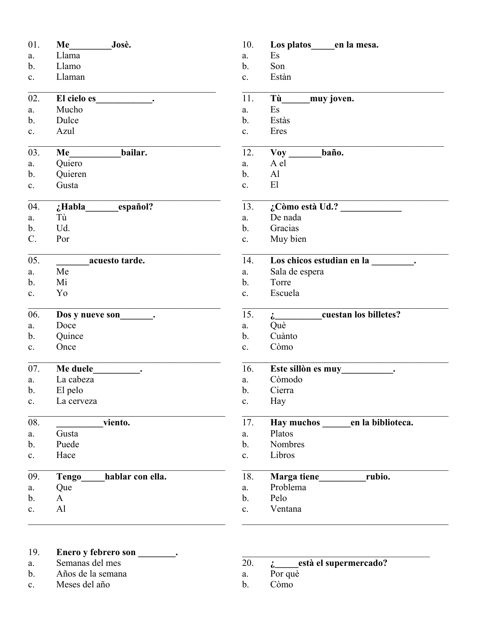| 01.            | Me Josè.                         | 10.           | Los platos en la mesa.                                                                                                                                                                                                           |
|----------------|----------------------------------|---------------|----------------------------------------------------------------------------------------------------------------------------------------------------------------------------------------------------------------------------------|
| a.             | Llama                            | a.            | Es                                                                                                                                                                                                                               |
| $\mathbf b$ .  | Llamo                            | $\mathbf b$ . | Son                                                                                                                                                                                                                              |
| c.             | Llaman                           | c.            | Estàn                                                                                                                                                                                                                            |
| 02.            |                                  | 11.           | Tù muy joven.                                                                                                                                                                                                                    |
| a.             | Mucho                            | a.            | Es                                                                                                                                                                                                                               |
| $\mathbf{b}$ . | Dulce                            | b.            | Estàs                                                                                                                                                                                                                            |
| c.             | Azul                             | c.            | Eres                                                                                                                                                                                                                             |
| 03.            | bailar.<br><b>Me</b>             | 12.           | Voy baño.                                                                                                                                                                                                                        |
| a.             | Quiero                           | a.            | A el                                                                                                                                                                                                                             |
| $\mathbf b$ .  | Quieren                          | b.            | A <sup>1</sup>                                                                                                                                                                                                                   |
| c.             | Gusta                            | c.            | E1                                                                                                                                                                                                                               |
| 04.            | ¿Habla_________español?          | 13.           | $\lambda$ Còmo està Ud.?                                                                                                                                                                                                         |
| a.             | Tù                               | a.            | De nada                                                                                                                                                                                                                          |
| $\mathbf{b}$ . | Ud.                              | b.            | Gracias                                                                                                                                                                                                                          |
| $C_{\cdot}$    | Por                              | c.            | Muy bien                                                                                                                                                                                                                         |
| 05.            | acuesto tarde.                   | 14.           | Los chicos estudian en la __________.                                                                                                                                                                                            |
| a.             | Me                               | a.            | Sala de espera                                                                                                                                                                                                                   |
| $\mathbf b$ .  | Mi                               | $\mathbf b$ . | Torre                                                                                                                                                                                                                            |
| c.             | Yo                               | c.            | Escuela                                                                                                                                                                                                                          |
| 06.            | Dos y nueve son<br>              | 15.           | i cuestan los billetes?                                                                                                                                                                                                          |
| a.             | Doce                             | a.            | Què                                                                                                                                                                                                                              |
| $\mathbf b$ .  | Quince                           | b.            | Cuànto                                                                                                                                                                                                                           |
| c.             | Once                             | c.            | Còmo                                                                                                                                                                                                                             |
| 07.            | Me duele                         | 16.           | Este sillòn es muy<br>intervalse de la contrata del contrata del contrata del contrata del contrata del contrata del contrata del contrata del contrata del contrata del contrata del contrata del contrata del contrata del con |
| a.             | La cabeza                        | a.            | Còmodo                                                                                                                                                                                                                           |
| $\mathbf b$ .  | El pelo                          | b.            | Cierra                                                                                                                                                                                                                           |
| $c_{\cdot}$    | La cerveza                       | $\mathbf{c}.$ | Hay                                                                                                                                                                                                                              |
| 08.            | viento.                          | 17.           | <b>Hay muchos</b><br>en la biblioteca.                                                                                                                                                                                           |
| a.             | Gusta                            | a.            | Platos                                                                                                                                                                                                                           |
| $\mathbf{b}$ . | Puede                            | b.            | Nombres                                                                                                                                                                                                                          |
| c.             | Hace                             | $\mathbf{c}.$ | Libros                                                                                                                                                                                                                           |
| 09.            | hablar con ella.<br><b>Tengo</b> | 18.           | rubio.                                                                                                                                                                                                                           |
| a.             | Que                              | a.            | Problema                                                                                                                                                                                                                         |
| $\mathbf b$ .  | A                                | $\mathbf b$ . | Pelo                                                                                                                                                                                                                             |
| c.             | Al                               | $\mathbf{c}.$ | Ventana                                                                                                                                                                                                                          |
|                |                                  |               |                                                                                                                                                                                                                                  |

## 19. **Enero y febrero son \_\_\_\_\_\_\_\_.**

- a. Semanas del mes
- b. Años de la semana
- c. Meses del año

# 20. **¿\_\_\_\_\_està el supermercado?**

- a. Por què
- b. Còmo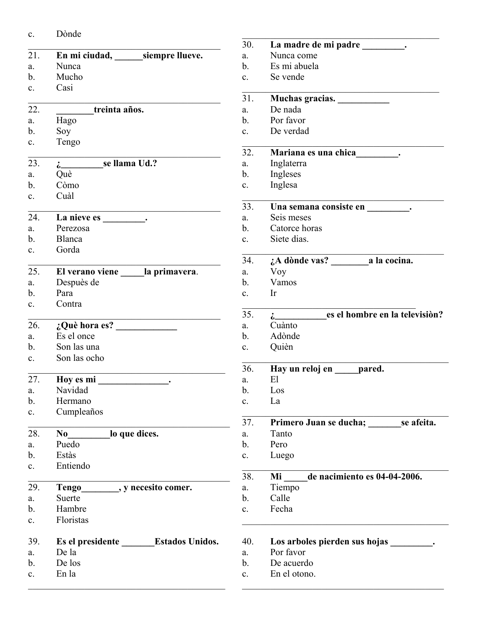| c. | Dònde |
|----|-------|
|    |       |

|               |                                     | 30.            | La madre de mi padre _________.                                                                                |
|---------------|-------------------------------------|----------------|----------------------------------------------------------------------------------------------------------------|
| 21.           | En mi ciudad, siempre llueve.       | a.             | Nunca come                                                                                                     |
| a.            | Nunca                               | $\mathbf{b}$ . | Es mi abuela                                                                                                   |
| b.            | Mucho                               | c.             | Se vende                                                                                                       |
| c.            | Casi                                | 31.            | Muchas gracias. __________                                                                                     |
| 22.           | treinta años.                       | a.             | De nada                                                                                                        |
| a.            | Hago                                | $\mathbf{b}$ . | Por favor                                                                                                      |
| b.            | Soy                                 | c.             | De verdad                                                                                                      |
| c.            | Tengo                               |                |                                                                                                                |
|               |                                     | 32.            | Mariana es una chica (1945).                                                                                   |
| 23.           | $\frac{1}{2}$ se llama Ud.?         | a.             | Inglaterra                                                                                                     |
| a.            | Què                                 | b.             | Ingleses                                                                                                       |
| $b$ .         | Còmo                                | c.             | Inglesa                                                                                                        |
| c.            | Cuàl                                |                |                                                                                                                |
|               |                                     | 33.            | Una semana consiste en la semana consiste en la semana consiste en la semana de la semana de la semana de la s |
| 24.           |                                     | a.             | Seis meses                                                                                                     |
| a.            | Perezosa                            | b.             | Catorce horas                                                                                                  |
| b.            | Blanca                              | $c_{\cdot}$    | Siete dias.                                                                                                    |
| c.            | Gorda                               | 34.            |                                                                                                                |
| 25.           | El verano viene ______la primavera. | a.             | Voy                                                                                                            |
| a.            | Despuès de                          | $\mathbf{b}$ . | Vamos                                                                                                          |
| b.            | Para                                | c.             | Ir                                                                                                             |
| c.            | Contra                              |                |                                                                                                                |
|               |                                     | 35.            | i es el hombre en la televisión?                                                                               |
| 26.           | $i$ Què hora es?                    | a.             | Cuànto                                                                                                         |
| a.            | Es el once                          | b.             | Adònde                                                                                                         |
| b.            | Son las una                         | c.             | Quièn                                                                                                          |
| c.            | Son las ocho                        |                |                                                                                                                |
|               |                                     | 36.            | Hay un reloj en _____ pared.                                                                                   |
| 27.           | Hoy es mi                           | a.             | El                                                                                                             |
| a.            | Navidad                             | $\mathbf b$ .  | Los                                                                                                            |
| b.            | Hermano                             | c.             | La                                                                                                             |
| $\mathbf{c}.$ | Cumpleaños                          |                |                                                                                                                |
|               |                                     | 37.            | Primero Juan se ducha; se afeita.                                                                              |
| 28.           | $\bf{No}$<br>lo que dices.          | a.             | Tanto                                                                                                          |
| a.            | Puedo                               | b.             | Pero                                                                                                           |
| $\mathbf b$ . | Estàs                               | c.             | Luego                                                                                                          |
| c.            | Entiendo                            |                |                                                                                                                |
|               |                                     | 38.            | de nacimiento es 04-04-2006.<br>Mi                                                                             |
| 29.           | , y necesito comer.<br>Tengo        | a.             | Tiempo                                                                                                         |
| a.            | Suerte                              | b.             | Calle                                                                                                          |
| b.            | Hambre                              | c.             | Fecha                                                                                                          |
| c.            | Floristas                           |                |                                                                                                                |
| 39.           | Es el presidente Estados Unidos.    | 40.            | Los arboles pierden sus hojas                                                                                  |
| a.            | De la                               | a.             | Por favor                                                                                                      |
| b.            | De los                              | b.             | De acuerdo                                                                                                     |
| c.            | En la                               | c.             | En el otono.                                                                                                   |
|               |                                     |                |                                                                                                                |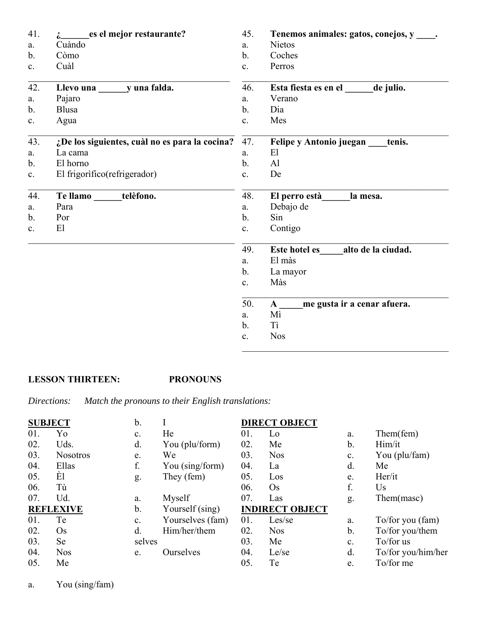| 41.            | es el mejor restaurante?                       | 45.            | Tenemos animales: gatos, conejos, y         |
|----------------|------------------------------------------------|----------------|---------------------------------------------|
| a.             | Cuàndo                                         | a.             | <b>Nietos</b>                               |
| $\mathbf{b}$ . | Còmo                                           | b.             | Coches                                      |
| $\mathbf{c}$ . | Cuàl                                           | C <sub>1</sub> | Perros                                      |
| 42.            | Llevo una yuna falda.                          | 46.            | Esta fiesta es en el<br>de julio.           |
| a.             | Pajaro                                         | a.             | Verano                                      |
| $\mathbf b$ .  | <b>Blusa</b>                                   | $\mathbf{b}$ . | Dia                                         |
| c.             | Agua                                           | c.             | Mes                                         |
| 43.            | ¿De los siguientes, cuàl no es para la cocina? | 47.            | Felipe y Antonio juegan<br>tenis.           |
| a.             | La cama                                        | a.             | E1                                          |
| $\mathbf b$ .  | El horno                                       | $\mathbf b$ .  | A <sub>1</sub>                              |
| $\mathbf{c}$ . | El frigorífico (refrigerador)                  | C <sub>1</sub> | De                                          |
| 44.            | Tellamo____<br>telèfono.                       | 48.            | El perro està<br>la mesa.                   |
| a.             | Para                                           | a.             | Debajo de                                   |
| b.             | Por                                            | $\mathbf b$ .  | Sin                                         |
| c.             | El                                             | c.             | Contigo                                     |
|                |                                                | 49.            | alto de la ciudad.<br><b>Este hotel es</b>  |
|                |                                                | a.             | El màs                                      |
|                |                                                | $\mathbf{b}$ . | La mayor                                    |
|                |                                                | c.             | Màs                                         |
|                |                                                | 50.            | me gusta ir a cenar afuera.<br>$\mathbf{A}$ |
|                |                                                | a.             | Mì                                          |
|                |                                                | b.             | Tì                                          |
|                |                                                | c.             | <b>Nos</b>                                  |

# **LESSON THIRTEEN: PRONOUNS**

*Directions: Match the pronouns to their English translations:*

| <b>SUBJECT</b> |                  | b.        |                  |     | <b>DIRECT OBJECT</b>   |    |                    |
|----------------|------------------|-----------|------------------|-----|------------------------|----|--------------------|
| 01.            | Yo               | c.        | He               | 01. | Lo                     | a. | Them(fem)          |
| 02.            | Uds.             | d.        | You (plu/form)   | 02. | Me                     | b. | Him/it             |
| 03.            | <b>Nosotros</b>  | e.        | We               | 03. | <b>Nos</b>             | c. | You (plu/fam)      |
| 04.            | Ellas            | f.        | You (sing/form)  | 04. | La                     | d. | Me                 |
| 05.            | Èl               | g.        | They (fem)       | 05. | Los                    | e. | Her/it             |
| 06.            | Tù               |           |                  | 06. | $\mathrm{Os}$          | f. | Us                 |
| 07.            | Ud.              | a.        | Myself           | 07. | Las                    | g. | Them(masc)         |
|                | <b>REFLEXIVE</b> | b.        | Yourself (sing)  |     | <b>INDIRECT OBJECT</b> |    |                    |
| 01.            | Te               | c.        | Yourselves (fam) | 01. | Les/se                 | a. | To/for you (fam)   |
| 02.            | $\mathrm{Os}$    | $\rm d$ . | Him/her/them     | 02. | <b>Nos</b>             | b. | To/for you/them    |
| 03.            | Se               | selves    |                  | 03. | Me                     | c. | To/for us          |
| 04.            | <b>Nos</b>       | e.        | Ourselves        | 04. | Le/se                  | d. | To/for you/him/her |
| 05.            | Me               |           |                  | 05. | Te                     | e. | To/for me          |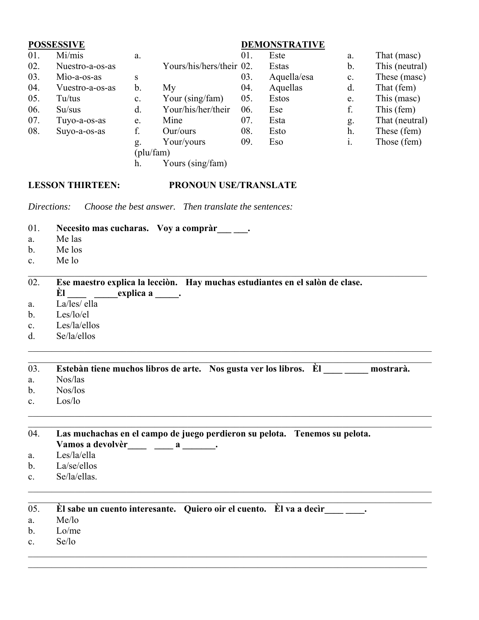### **POSSESSIVE** 01. Mi/mis 02. Nuestro-a-os-as 03. Mìo-a-os-as 04. Vuestro-a-os-as 05. Tu/tus 06. Su/sus 07. Tuyo-a-os-as 08. Suyo-a-os-as a. Yours/his/hers/their 02. s b. My c. Your (sing/fam) d. Your/his/her/their e. Mine f. Our/ours g. Your/yours (plu/fam) h. Yours (sing/fam) **DEMONSTRATIVE** 01. Este Estas 03. Aquella/esa 04. Aquellas 05. Estos 06. Ese 07. Esta 08. Esto 09. Eso a. That (masc) b. This (neutral) c. These (masc) d. That (fem) e. This (masc) f. This (fem) g. That (neutral) h. These (fem) i. Those (fem) **LESSON THIRTEEN: PRONOUN USE/TRANSLATE** *Directions: Choose the best answer. Then translate the sentences:* 01. Necesito mas cucharas. Voy a compràr<sub>\_\_\_</sub>\_\_. a. Me las b. Me los c. Me lo 02. **Ese maestro explica la lecciòn. Hay muchas estudiantes en el salòn de clase. Èl \_\_\_\_ \_\_\_\_\_explica a \_\_\_\_\_.** a. La/les/ ella b. Les/lo/el c. Les/la/ellos d. Se/la/ellos 03. **Estebàn tiene muchos libros de arte. Nos gusta ver los libros. Èl \_\_\_\_ \_\_\_\_\_ mostrarà.** a. Nos/las b. Nos/los c. Los/lo 04. **Las muchachas en el campo de juego perdieron su pelota. Tenemos su pelota.**  Vamos a devolvèr\_\_\_\_ \_\_\_ a \_\_\_\_\_\_. a. Les/la/ella b. La/se/ellos c. Se/la/ellas.  $\_$  , and the state of the state of the state of the state of the state of the state of the state of the state of the state of the state of the state of the state of the state of the state of the state of the state of the 05. **Èl sabe un cuento interesante. Quiero oir el cuento. Èl va a decìr\_\_\_\_ \_\_\_\_.** a. Me/lo b. Lo/me c. Se/lo